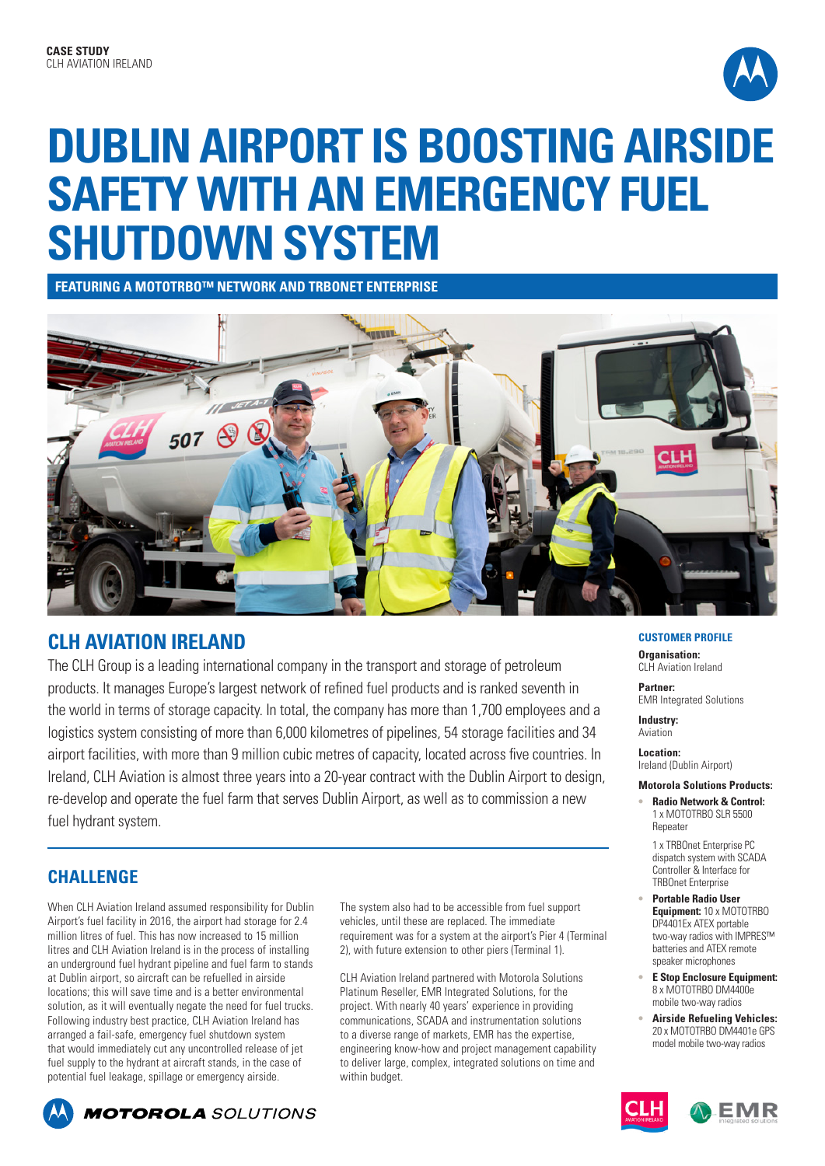

# **DUBLIN AIRPORT IS BOOSTING AIRSIDE SAFETY WITH AN EMERGENCY FUEL SHUTDOWN SYSTEM**

**FEATURING A MOTOTRBO™ NETWORK AND TRBONET ENTERPRISE** 



# **CLH AVIATION IRELAND**

The CLH Group is a leading international company in the transport and storage of petroleum products. It manages Europe's largest network of refined fuel products and is ranked seventh in the world in terms of storage capacity. In total, the company has more than 1,700 employees and a logistics system consisting of more than 6,000 kilometres of pipelines, 54 storage facilities and 34 airport facilities, with more than 9 million cubic metres of capacity, located across five countries. In Ireland, CLH Aviation is almost three years into a 20-year contract with the Dublin Airport to design, re-develop and operate the fuel farm that serves Dublin Airport, as well as to commission a new fuel hydrant system.

## **CHALLENGE**

When CLH Aviation Ireland assumed responsibility for Dublin Airport's fuel facility in 2016, the airport had storage for 2.4 million litres of fuel. This has now increased to 15 million litres and CLH Aviation Ireland is in the process of installing an underground fuel hydrant pipeline and fuel farm to stands at Dublin airport, so aircraft can be refuelled in airside locations; this will save time and is a better environmental solution, as it will eventually negate the need for fuel trucks. Following industry best practice, CLH Aviation Ireland has arranged a fail-safe, emergency fuel shutdown system that would immediately cut any uncontrolled release of jet fuel supply to the hydrant at aircraft stands, in the case of potential fuel leakage, spillage or emergency airside.



The system also had to be accessible from fuel support vehicles, until these are replaced. The immediate requirement was for a system at the airport's Pier 4 (Terminal 2), with future extension to other piers (Terminal 1).

CLH Aviation Ireland partnered with Motorola Solutions Platinum Reseller, EMR Integrated Solutions, for the project. With nearly 40 years' experience in providing communications, SCADA and instrumentation solutions to a diverse range of markets, EMR has the expertise, engineering know-how and project management capability to deliver large, complex, integrated solutions on time and within budget.

## **CUSTOMER PROFILE Organisation:**

CLH Aviation Ireland

**Partner:**  EMR Integrated Solutions

**Industry:**  Aviation

**Location:**  Ireland (Dublin Airport)

## **Motorola Solutions Products:**

**• Radio Network & Control:** 1 x MOTOTRBO SLR 5500 Repeater

1 x TRBOnet Enterprise PC dispatch system with SCADA Controller & Interface for TRBOnet Enterprise

- **• Portable Radio User Equipment:** 10 x MOTOTRBO DP4401Ex ATEX portable two-way radios with IMPRES™ batteries and ATEX remote speaker microphones
- **• E Stop Enclosure Equipment:**  8 x MOTOTRBO DM4400e mobile two-way radios
- **• Airside Refueling Vehicles:** 20 x MOTOTRBO DM4401e GPS model mobile two-way radios